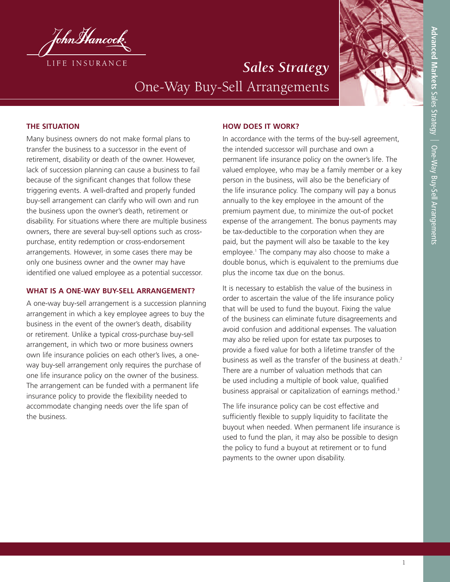

# *Sales Strategy* One-Way Buy-Sell Arrangements



## **THE SITUATION**

Many business owners do not make formal plans to transfer the business to a successor in the event of retirement, disability or death of the owner. However, lack of succession planning can cause a business to fail because of the significant changes that follow these triggering events. A well-drafted and properly funded buy-sell arrangement can clarify who will own and run the business upon the owner's death, retirement or disability. For situations where there are multiple business owners, there are several buy-sell options such as crosspurchase, entity redemption or cross-endorsement arrangements. However, in some cases there may be only one business owner and the owner may have identified one valued employee as a potential successor.

## **WHAT IS A ONE-WAY BUY-SELL ARRANGEMENT?**

A one-way buy-sell arrangement is a succession planning arrangement in which a key employee agrees to buy the business in the event of the owner's death, disability or retirement. Unlike a typical cross-purchase buy-sell arrangement, in which two or more business owners own life insurance policies on each other's lives, a oneway buy-sell arrangement only requires the purchase of one life insurance policy on the owner of the business. The arrangement can be funded with a permanent life insurance policy to provide the flexibility needed to accommodate changing needs over the life span of the business.

### **HOW DOES IT WORK?**

In accordance with the terms of the buy-sell agreement, the intended successor will purchase and own a permanent life insurance policy on the owner's life. The valued employee, who may be a family member or a key person in the business, will also be the beneficiary of the life insurance policy. The company will pay a bonus annually to the key employee in the amount of the premium payment due, to minimize the out-of pocket expense of the arrangement. The bonus payments may be tax-deductible to the corporation when they are paid, but the payment will also be taxable to the key employee. <sup>1</sup> The company may also choose to make a double bonus, which is equivalent to the premiums due plus the income tax due on the bonus.

It is necessary to establish the value of the business in order to ascertain the value of the life insurance policy that will be used to fund the buyout. Fixing the value of the business can eliminate future disagreements and avoid confusion and additional expenses. The valuation may also be relied upon for estate tax purposes to provide a fixed value for both a lifetime transfer of the business as well as the transfer of the business at death. 2 There are a number of valuation methods that can be used including a multiple of book value, qualified business appraisal or capitalization of earnings method. 3

The life insurance policy can be cost effective and sufficiently flexible to supply liquidity to facilitate the buyout when needed. When permanent life insurance is used to fund the plan, it may also be possible to design the policy to fund a buyout at retirement or to fund payments to the owner upon disability.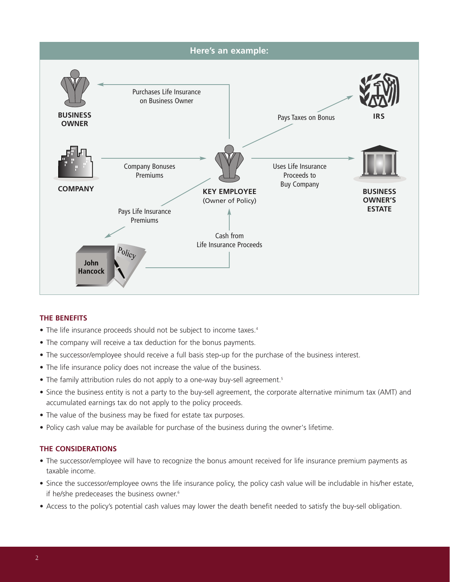

## **THE BENEFITS**

- The life insurance proceeds should not be subject to income taxes.<sup>4</sup>
- The company will receive a tax deduction for the bonus payments.
- The successor/employee should receive a full basis step-up for the purchase of the business interest.
- The life insurance policy does not increase the value of the business.
- The family attribution rules do not apply to a one-way buy-sell agreement.<sup>5</sup>
- Since the business entity is not a party to the buy-sell agreement, the corporate alternative minimum tax (AMT) and accumulated earnings tax do not apply to the policy proceeds.
- The value of the business may be fixed for estate tax purposes.
- Policy cash value may be available for purchase of the business during the owner's lifetime.

## **THE CONSIDERATIONS**

- The successor/employee will have to recognize the bonus amount received for life insurance premium payments as taxable income.
- Since the successor/employee owns the life insurance policy, the policy cash value will be includable in his/her estate, if he/she predeceases the business owner. 6
- Access to the policy's potential cash values may lower the death benefit needed to satisfy the buy-sell obligation.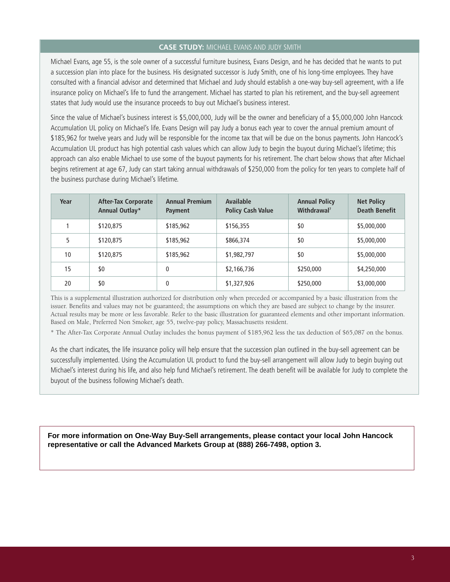#### **CASE STUDY:** MICHAEL EVANS AND JUDY SMITH

Michael Evans, age 55, is the sole owner of a successful furniture business, Evans Design, and he has decided that he wants to put a succession plan into place for the business. His designated successor is Judy Smith, one of his long-time employees. They have consulted with a financial advisor and determined that Michael and Judy should establish a one-way buy-sell agreement, with a life insurance policy on Michael's life to fund the arrangement. Michael has started to plan his retirement, and the buy-sell agreement states that Judy would use the insurance proceeds to buy out Michael's business interest.

Since the value of Michael's business interest is \$5,000,000, Judy will be the owner and beneficiary of a \$5,000,000 John Hancock Accumulation UL policy on Michael's life. Evans Design will pay Judy a bonus each year to cover the annual premium amount of \$185,962 for twelve years and Judy will be responsible for the income tax that will be due on the bonus payments. John Hancock's Accumulation UL product has high potential cash values which can allow Judy to begin the buyout during Michael's lifetime; this approach can also enable Michael to use some of the buyout payments for his retirement. The chart below shows that after Michael begins retirement at age 67, Judy can start taking annual withdrawals of \$250,000 from the policy for ten years to complete half of the business purchase during Michael's lifetime.

| Year | <b>After-Tax Corporate</b><br>Annual Outlay* | <b>Annual Premium</b><br>Payment | Available<br><b>Policy Cash Value</b> | <b>Annual Policy</b><br>Withdrawal <sup>7</sup> | <b>Net Policy</b><br><b>Death Benefit</b> |
|------|----------------------------------------------|----------------------------------|---------------------------------------|-------------------------------------------------|-------------------------------------------|
|      | \$120,875                                    | \$185,962                        | \$156,355                             | \$0                                             | \$5,000,000                               |
| 5    | \$120,875                                    | \$185,962                        | \$866,374                             | \$0                                             | \$5,000,000                               |
| 10   | \$120,875                                    | \$185,962                        | \$1,982,797                           | \$0                                             | \$5,000,000                               |
| 15   | \$0                                          | 0                                | \$2,166,736                           | \$250,000                                       | \$4,250,000                               |
| 20   | \$0                                          | 0                                | \$1,327,926                           | \$250,000                                       | \$3,000,000                               |

This is a supplemental illustration authorized for distribution only when preceded or accompanied by a basic illustration from the issuer. Benefits and values may not be guaranteed; the assumptions on which they are based are subject to change by the insurer. Actual results may be more or less favorable. Refer to the basic illustration for guaranteed elements and other important information. Based on Male, Preferred Non Smoker, age 55, twelve-pay policy, Massachusetts resident.

\* The After-Tax Corporate Annual Outlay includes the bonus payment of \$185,962 less the tax deduction of \$65,087 on the bonus.

As the chart indicates, the life insurance policy will help ensure that the succession plan outlined in the buy-sell agreement can be successfully implemented. Using the Accumulation UL product to fund the buy-sell arrangement will allow Judy to begin buying out Michael's interest during his life, and also help fund Michael's retirement. The death benefit will be available for Judy to complete the buyout of the business following Michael's death.

**For more information on One-Way Buy-Sell arrangements, please contact your local John Hancock representative or call the Advanced Markets Group at (888) 266-7498, option 3.**